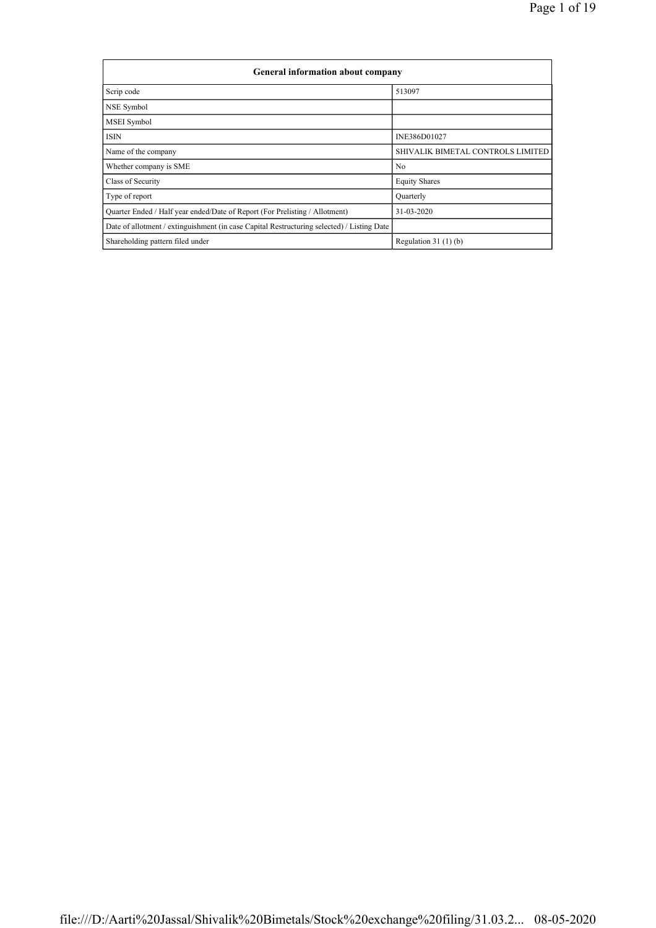|                                                                                            | General information about company |  |  |  |  |  |  |  |
|--------------------------------------------------------------------------------------------|-----------------------------------|--|--|--|--|--|--|--|
| Scrip code                                                                                 | 513097                            |  |  |  |  |  |  |  |
| NSE Symbol                                                                                 |                                   |  |  |  |  |  |  |  |
| <b>MSEI</b> Symbol                                                                         |                                   |  |  |  |  |  |  |  |
| <b>ISIN</b>                                                                                | INE386D01027                      |  |  |  |  |  |  |  |
| Name of the company                                                                        | SHIVALIK BIMETAL CONTROLS LIMITED |  |  |  |  |  |  |  |
| Whether company is SME                                                                     | N <sub>0</sub>                    |  |  |  |  |  |  |  |
| Class of Security                                                                          | <b>Equity Shares</b>              |  |  |  |  |  |  |  |
| Type of report                                                                             | Quarterly                         |  |  |  |  |  |  |  |
| Quarter Ended / Half year ended/Date of Report (For Prelisting / Allotment)                | 31-03-2020                        |  |  |  |  |  |  |  |
| Date of allotment / extinguishment (in case Capital Restructuring selected) / Listing Date |                                   |  |  |  |  |  |  |  |
| Shareholding pattern filed under                                                           | Regulation $31(1)(b)$             |  |  |  |  |  |  |  |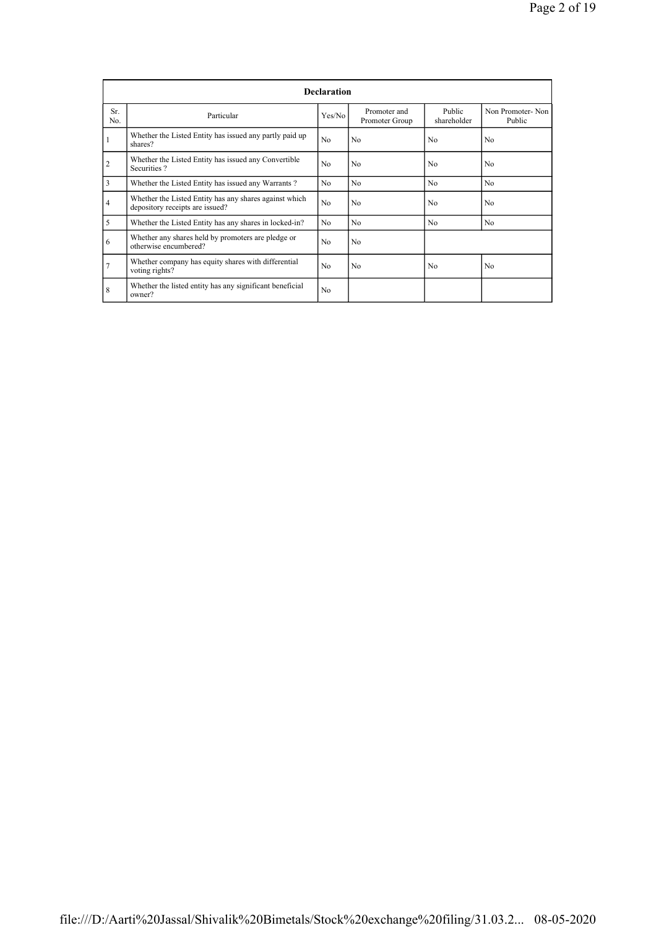|                |                                                                                           | <b>Declaration</b> |                                |                       |                            |
|----------------|-------------------------------------------------------------------------------------------|--------------------|--------------------------------|-----------------------|----------------------------|
| Sr.<br>No.     | Particular                                                                                | Yes/No             | Promoter and<br>Promoter Group | Public<br>shareholder | Non Promoter-Non<br>Public |
|                | Whether the Listed Entity has issued any partly paid up<br>shares?                        | N <sub>0</sub>     | N <sub>0</sub>                 | No                    | No                         |
| $\overline{2}$ | Whether the Listed Entity has issued any Convertible<br>Securities?                       | No                 | N <sub>0</sub>                 | No                    | N <sub>0</sub>             |
| 3              | Whether the Listed Entity has issued any Warrants?                                        | N <sub>0</sub>     | N <sub>0</sub>                 | N <sub>0</sub>        | N <sub>0</sub>             |
| $\overline{4}$ | Whether the Listed Entity has any shares against which<br>depository receipts are issued? | No                 | N <sub>0</sub>                 | N <sub>0</sub>        | No                         |
| 5              | Whether the Listed Entity has any shares in locked-in?                                    | N <sub>0</sub>     | N <sub>0</sub>                 | No                    | N <sub>0</sub>             |
| 6              | Whether any shares held by promoters are pledge or<br>otherwise encumbered?               | No                 | N <sub>0</sub>                 |                       |                            |
| $\overline{7}$ | Whether company has equity shares with differential<br>voting rights?                     | No.                | N <sub>0</sub>                 | No                    | N <sub>0</sub>             |
| 8              | Whether the listed entity has any significant beneficial<br>owner?                        | No                 |                                |                       |                            |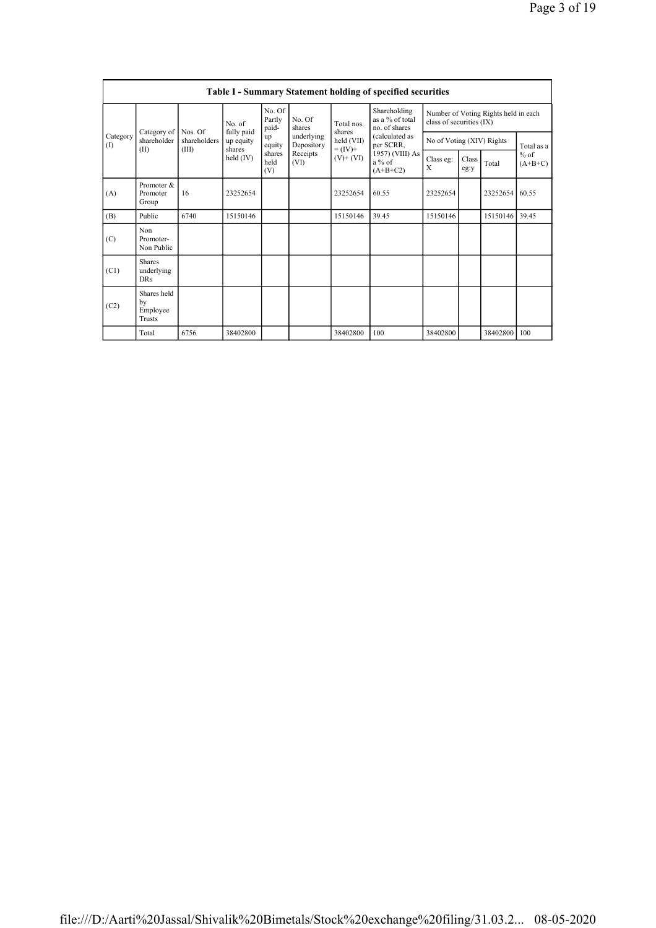|                 |                                           |                         |                                   |                       |                          |                                                     | <b>Table I - Summary Statement holding of specified securities</b> |                           |               |          |                     |
|-----------------|-------------------------------------------|-------------------------|-----------------------------------|-----------------------|--------------------------|-----------------------------------------------------|--------------------------------------------------------------------|---------------------------|---------------|----------|---------------------|
|                 |                                           | No. of                  | No. Of<br>Partly<br>paid-         | No. Of<br>shares      | Total nos.               | Shareholding<br>as a % of total<br>no. of shares    | Number of Voting Rights held in each<br>class of securities (IX)   |                           |               |          |                     |
| Category<br>(I) | Category of<br>shareholder                | Nos. Of<br>shareholders | fully paid<br>up equity<br>shares | up<br>equity          | underlying<br>Depository | shares<br>(calculated as<br>held (VII)<br>per SCRR, |                                                                    | No of Voting (XIV) Rights |               |          | Total as a          |
|                 | (II)                                      | (III)                   | held (IV)                         | shares<br>held<br>(V) | Receipts<br>(VI)         | $= (IV) +$<br>$(V)$ + $(VI)$                        | 1957) (VIII) As<br>$a\%$ of<br>$(A+B+C2)$                          | Class eg:<br>X            | Class<br>eg:y | Total    | $%$ of<br>$(A+B+C)$ |
| (A)             | Promoter &<br>Promoter<br>Group           | 16                      | 23252654                          |                       |                          | 23252654                                            | 60.55                                                              | 23252654                  |               | 23252654 | 60.55               |
| (B)             | Public                                    | 6740                    | 15150146                          |                       |                          | 15150146                                            | 39.45                                                              | 15150146                  |               | 15150146 | 39.45               |
| (C)             | Non<br>Promoter-<br>Non Public            |                         |                                   |                       |                          |                                                     |                                                                    |                           |               |          |                     |
| (C1)            | <b>Shares</b><br>underlying<br><b>DRs</b> |                         |                                   |                       |                          |                                                     |                                                                    |                           |               |          |                     |
| (C2)            | Shares held<br>by<br>Employee<br>Trusts   |                         |                                   |                       |                          |                                                     |                                                                    |                           |               |          |                     |
|                 | Total                                     | 6756                    | 38402800                          |                       |                          | 38402800                                            | 100                                                                | 38402800                  |               | 38402800 | 100                 |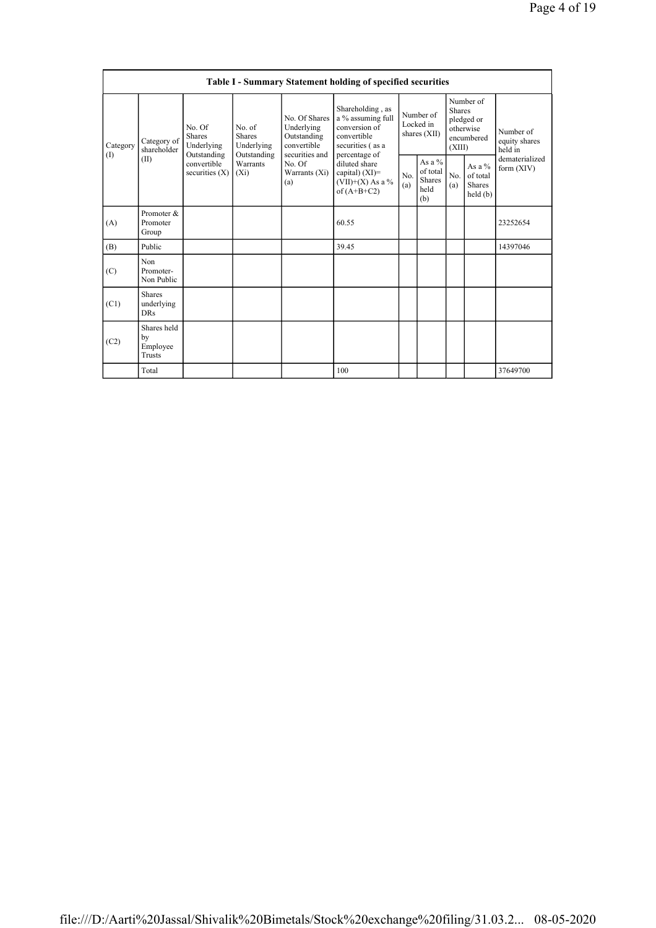|          |                                           |                                                |                                       |                                                           | Table I - Summary Statement holding of specified securities                                                |                                        |                                               |                                                                               |                                                   |                                       |
|----------|-------------------------------------------|------------------------------------------------|---------------------------------------|-----------------------------------------------------------|------------------------------------------------------------------------------------------------------------|----------------------------------------|-----------------------------------------------|-------------------------------------------------------------------------------|---------------------------------------------------|---------------------------------------|
| Category | Category of<br>shareholder                | No. Of<br><b>Shares</b><br>Underlying          | No. of<br><b>Shares</b><br>Underlying | No. Of Shares<br>Underlying<br>Outstanding<br>convertible | Shareholding, as<br>a % assuming full<br>conversion of<br>convertible<br>securities (as a<br>percentage of | Number of<br>Locked in<br>shares (XII) |                                               | Number of<br><b>Shares</b><br>pledged or<br>otherwise<br>encumbered<br>(XIII) |                                                   | Number of<br>equity shares<br>held in |
| (1)      | (II)                                      | Outstanding<br>convertible<br>securities $(X)$ | Outstanding<br>Warrants<br>$(X_i)$    | securities and<br>No. Of<br>Warrants (Xi)<br>(a)          | diluted share<br>capital) $(XI)$ =<br>$(VII)+(X)$ As a %<br>of $(A+B+C2)$                                  | No.<br>(a)                             | As a $%$<br>of total<br>Shares<br>held<br>(b) | No.<br>(a)                                                                    | As a $%$<br>of total<br><b>Shares</b><br>held (b) | dematerialized<br>form $(XIV)$        |
| (A)      | Promoter &<br>Promoter<br>Group           |                                                |                                       |                                                           | 60.55                                                                                                      |                                        |                                               |                                                                               |                                                   | 23252654                              |
| (B)      | Public                                    |                                                |                                       |                                                           | 39.45                                                                                                      |                                        |                                               |                                                                               |                                                   | 14397046                              |
| (C)      | Non<br>Promoter-<br>Non Public            |                                                |                                       |                                                           |                                                                                                            |                                        |                                               |                                                                               |                                                   |                                       |
| (C1)     | <b>Shares</b><br>underlying<br><b>DRs</b> |                                                |                                       |                                                           |                                                                                                            |                                        |                                               |                                                                               |                                                   |                                       |
| (C2)     | Shares held<br>by<br>Employee<br>Trusts   |                                                |                                       |                                                           |                                                                                                            |                                        |                                               |                                                                               |                                                   |                                       |
|          | Total                                     |                                                |                                       |                                                           | 100                                                                                                        |                                        |                                               |                                                                               |                                                   | 37649700                              |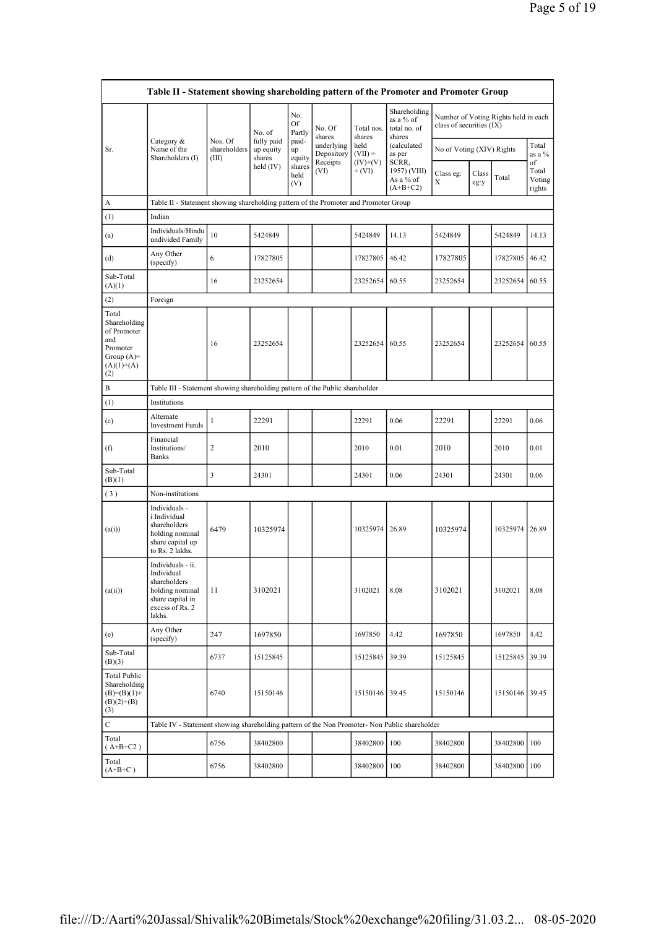|                                                                                                | Table II - Statement showing shareholding pattern of the Promoter and Promoter Group                                |                                  |                                   |                            |                          |                        |                                                     |                           |               |                                      |                                 |
|------------------------------------------------------------------------------------------------|---------------------------------------------------------------------------------------------------------------------|----------------------------------|-----------------------------------|----------------------------|--------------------------|------------------------|-----------------------------------------------------|---------------------------|---------------|--------------------------------------|---------------------------------|
|                                                                                                |                                                                                                                     |                                  | No. of                            | No.<br><b>Of</b><br>Partly | No. Of<br>shares         | Total nos.<br>shares   | Shareholding<br>as a % of<br>total no. of<br>shares | class of securities (IX)  |               | Number of Voting Rights held in each |                                 |
| Sr.                                                                                            | Category &<br>Name of the<br>Shareholders (I)                                                                       | Nos. Of<br>shareholders<br>(III) | fully paid<br>up equity<br>shares | paid-<br>up<br>equity      | underlying<br>Depository | held<br>$(VII) =$      | (calculated<br>as per                               | No of Voting (XIV) Rights |               |                                      | Total<br>as a %                 |
|                                                                                                |                                                                                                                     |                                  | held (IV)                         | shares<br>held<br>(V)      | Receipts<br>(VI)         | $(IV)+(V)$<br>$+ (VI)$ | SCRR,<br>1957) (VIII)<br>As a % of<br>$(A+B+C2)$    | Class eg:<br>X            | Class<br>eg:y | Total                                | of<br>Total<br>Voting<br>rights |
| A                                                                                              | Table II - Statement showing shareholding pattern of the Promoter and Promoter Group                                |                                  |                                   |                            |                          |                        |                                                     |                           |               |                                      |                                 |
| (1)                                                                                            | Indian                                                                                                              |                                  |                                   |                            |                          |                        |                                                     |                           |               |                                      |                                 |
| (a)                                                                                            | Individuals/Hindu<br>undivided Family                                                                               | 10                               | 5424849                           |                            |                          | 5424849                | 14.13                                               | 5424849                   |               | 5424849                              | 14.13                           |
| (d)                                                                                            | Any Other<br>(specify)                                                                                              | 6                                | 17827805                          |                            |                          | 17827805               | 46.42                                               | 17827805                  |               | 17827805                             | 46.42                           |
| Sub-Total<br>(A)(1)                                                                            |                                                                                                                     | 16                               | 23252654                          |                            |                          | 23252654               | 60.55                                               | 23252654                  |               | 23252654                             | 60.55                           |
| (2)                                                                                            | Foreign                                                                                                             |                                  |                                   |                            |                          |                        |                                                     |                           |               |                                      |                                 |
| Total<br>Shareholding<br>of Promoter<br>and<br>Promoter<br>Group $(A)=$<br>$(A)(1)+(A)$<br>(2) |                                                                                                                     | 16                               | 23252654                          |                            |                          | 23252654               | 60.55                                               | 23252654                  |               | 23252654                             | 60.55                           |
| В                                                                                              | Table III - Statement showing shareholding pattern of the Public shareholder                                        |                                  |                                   |                            |                          |                        |                                                     |                           |               |                                      |                                 |
| (1)                                                                                            | Institutions                                                                                                        |                                  |                                   |                            |                          |                        |                                                     |                           |               |                                      |                                 |
| (c)                                                                                            | Alternate<br><b>Investment Funds</b>                                                                                | $\mathbf{1}$                     | 22291                             |                            |                          | 22291                  | 0.06                                                | 22291                     |               | 22291                                | 0.06                            |
| (f)                                                                                            | Financial<br>Institutions/<br><b>Banks</b>                                                                          | $\overline{c}$                   | 2010                              |                            |                          | 2010                   | 0.01                                                | 2010                      |               | 2010                                 | 0.01                            |
| Sub-Total<br>(B)(1)                                                                            |                                                                                                                     | 3                                | 24301                             |                            |                          | 24301                  | 0.06                                                | 24301                     |               | 24301                                | 0.06                            |
| (3)                                                                                            | Non-institutions                                                                                                    |                                  |                                   |                            |                          |                        |                                                     |                           |               |                                      |                                 |
| (a(i))                                                                                         | Individuals -<br>i.Individual<br>shareholders<br>holding nominal<br>share capital up<br>to Rs. 2 lakhs.             | 6479                             | 10325974                          |                            |                          | 10325974 26.89         |                                                     | 10325974                  |               | 10325974                             | 26.89                           |
| (a(ii))                                                                                        | Individuals - ii.<br>Individual<br>shareholders<br>holding nominal<br>share capital in<br>excess of Rs. 2<br>lakhs. | 11                               | 3102021                           |                            |                          | 3102021                | 8.08                                                | 3102021                   |               | 3102021                              | 8.08                            |
| (e)                                                                                            | Any Other<br>(specify)                                                                                              | 247                              | 1697850                           |                            |                          | 1697850                | 4.42                                                | 1697850                   |               | 1697850                              | 4.42                            |
| Sub-Total<br>(B)(3)                                                                            |                                                                                                                     | 6737                             | 15125845                          |                            |                          | 15125845               | 39.39                                               | 15125845                  |               | 15125845                             | 39.39                           |
| <b>Total Public</b><br>Shareholding<br>$(B)= (B)(1) +$<br>$(B)(2)+(B)$<br>(3)                  |                                                                                                                     | 6740                             | 15150146                          |                            |                          | 15150146 39.45         |                                                     | 15150146                  |               | 15150146                             | 39.45                           |
| $\mathbf C$                                                                                    | Table IV - Statement showing shareholding pattern of the Non Promoter- Non Public shareholder                       |                                  |                                   |                            |                          |                        |                                                     |                           |               |                                      |                                 |
| Total<br>$(A+B+C2)$                                                                            |                                                                                                                     | 6756                             | 38402800                          |                            |                          | 38402800               | 100                                                 | 38402800                  |               | 38402800                             | 100                             |
| Total<br>$(A+B+C)$                                                                             |                                                                                                                     | 6756                             | 38402800                          |                            |                          | 38402800               | 100                                                 | 38402800                  |               | 38402800                             | 100                             |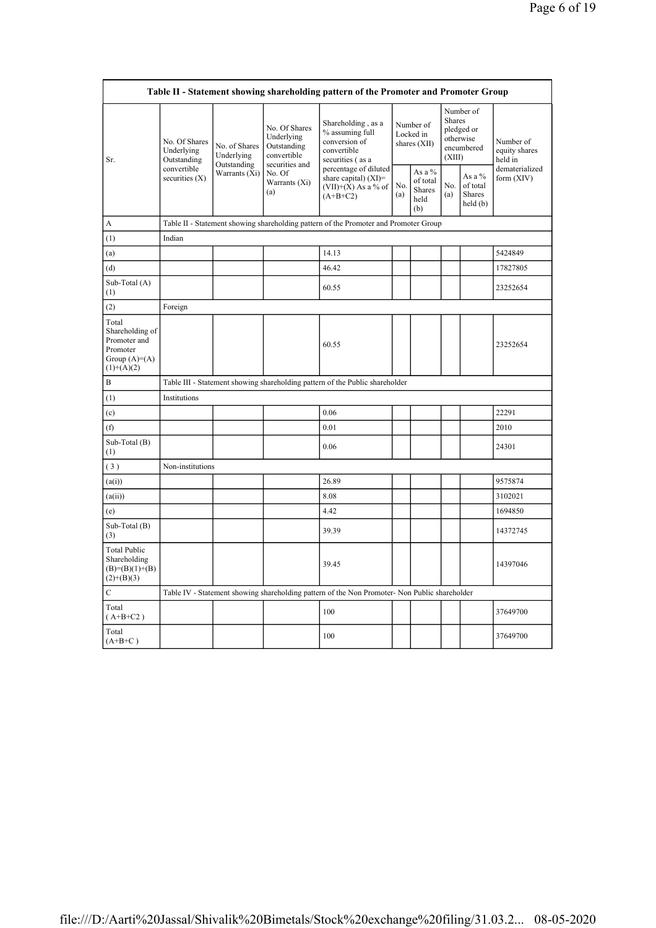|                                                                                        |                                            |                              |                                                           | Table II - Statement showing shareholding pattern of the Promoter and Promoter Group          |                                        |                                                    |                                                                               |                                         |                                       |
|----------------------------------------------------------------------------------------|--------------------------------------------|------------------------------|-----------------------------------------------------------|-----------------------------------------------------------------------------------------------|----------------------------------------|----------------------------------------------------|-------------------------------------------------------------------------------|-----------------------------------------|---------------------------------------|
| Sr.                                                                                    | No. Of Shares<br>Underlying<br>Outstanding | No. of Shares<br>Underlying  | No. Of Shares<br>Underlying<br>Outstanding<br>convertible | Shareholding, as a<br>% assuming full<br>conversion of<br>convertible<br>securities (as a     | Number of<br>Locked in<br>shares (XII) |                                                    | Number of<br><b>Shares</b><br>pledged or<br>otherwise<br>encumbered<br>(XIII) |                                         | Number of<br>equity shares<br>held in |
|                                                                                        | convertible<br>securities $(X)$            | Outstanding<br>Warrants (Xi) | securities and<br>No. Of<br>Warrants (Xi)<br>(a)          | percentage of diluted<br>share capital) $(XI)$ =<br>$(VII)+(X)$ As a % of<br>$(A+B+C2)$       | No.<br>(a)                             | As a %<br>of total<br><b>Shares</b><br>held<br>(b) | No.<br>(a)                                                                    | As a %<br>of total<br>Shares<br>held(b) | dematerialized<br>form $(XIV)$        |
| A                                                                                      |                                            |                              |                                                           | Table II - Statement showing shareholding pattern of the Promoter and Promoter Group          |                                        |                                                    |                                                                               |                                         |                                       |
| (1)                                                                                    | Indian                                     |                              |                                                           |                                                                                               |                                        |                                                    |                                                                               |                                         |                                       |
| (a)                                                                                    |                                            |                              |                                                           | 14.13                                                                                         |                                        |                                                    |                                                                               |                                         | 5424849                               |
| (d)                                                                                    |                                            |                              |                                                           | 46.42                                                                                         |                                        |                                                    |                                                                               |                                         | 17827805                              |
| Sub-Total (A)<br>(1)                                                                   |                                            |                              |                                                           | 60.55                                                                                         |                                        |                                                    |                                                                               |                                         | 23252654                              |
| (2)                                                                                    | Foreign                                    |                              |                                                           |                                                                                               |                                        |                                                    |                                                                               |                                         |                                       |
| Total<br>Shareholding of<br>Promoter and<br>Promoter<br>Group $(A)=A)$<br>$(1)+(A)(2)$ |                                            |                              |                                                           | 60.55                                                                                         |                                        |                                                    |                                                                               |                                         | 23252654                              |
| B                                                                                      |                                            |                              |                                                           | Table III - Statement showing shareholding pattern of the Public shareholder                  |                                        |                                                    |                                                                               |                                         |                                       |
| (1)                                                                                    | Institutions                               |                              |                                                           |                                                                                               |                                        |                                                    |                                                                               |                                         |                                       |
| (c)                                                                                    |                                            |                              |                                                           | 0.06                                                                                          |                                        |                                                    |                                                                               |                                         | 22291                                 |
| (f)                                                                                    |                                            |                              |                                                           | 0.01                                                                                          |                                        |                                                    |                                                                               |                                         | 2010                                  |
| $Sub-Total(B)$<br>(1)                                                                  |                                            |                              |                                                           | 0.06                                                                                          |                                        |                                                    |                                                                               |                                         | 24301                                 |
| (3)                                                                                    | Non-institutions                           |                              |                                                           |                                                                                               |                                        |                                                    |                                                                               |                                         |                                       |
| (a(i))                                                                                 |                                            |                              |                                                           | 26.89                                                                                         |                                        |                                                    |                                                                               |                                         | 9575874                               |
| (a(ii))                                                                                |                                            |                              |                                                           | 8.08                                                                                          |                                        |                                                    |                                                                               |                                         | 3102021                               |
| (e)                                                                                    |                                            |                              |                                                           | 4.42                                                                                          |                                        |                                                    |                                                                               |                                         | 1694850                               |
| $Sub-Total(B)$<br>(3)                                                                  |                                            |                              |                                                           | 39.39                                                                                         |                                        |                                                    |                                                                               |                                         | 14372745                              |
| <b>Total Public</b><br>Shareholding<br>$(B)= (B)(1)+(B)$<br>$(2)+(B)(3)$               |                                            |                              |                                                           | 39.45                                                                                         |                                        |                                                    |                                                                               |                                         | 14397046                              |
| $\overline{C}$                                                                         |                                            |                              |                                                           | Table IV - Statement showing shareholding pattern of the Non Promoter- Non Public shareholder |                                        |                                                    |                                                                               |                                         |                                       |
| Total<br>$(A+B+C2)$                                                                    |                                            |                              |                                                           | 100                                                                                           |                                        |                                                    |                                                                               |                                         | 37649700                              |
| Total<br>$(A+B+C)$                                                                     |                                            |                              |                                                           | 100                                                                                           |                                        |                                                    |                                                                               |                                         | 37649700                              |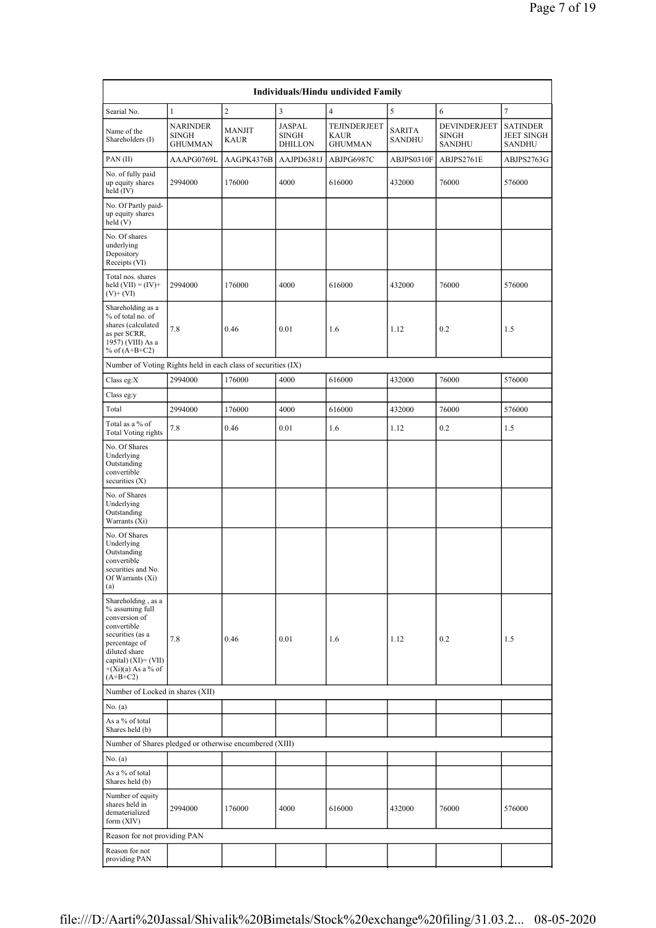|                                                                                                                                                                                           |                                                   |                              |                                                 | Individuals/Hindu undivided Family            |                                |                                                      |                                                       |
|-------------------------------------------------------------------------------------------------------------------------------------------------------------------------------------------|---------------------------------------------------|------------------------------|-------------------------------------------------|-----------------------------------------------|--------------------------------|------------------------------------------------------|-------------------------------------------------------|
| Searial No.                                                                                                                                                                               | $\mathbf{1}$                                      | $\overline{c}$               | 3                                               | $\overline{4}$                                | 5                              | 6                                                    | $\tau$                                                |
| Name of the<br>Shareholders (I)                                                                                                                                                           | <b>NARINDER</b><br><b>SINGH</b><br><b>GHUMMAN</b> | <b>MANJIT</b><br><b>KAUR</b> | <b>JASPAL</b><br><b>SINGH</b><br><b>DHILLON</b> | TEJINDERJEET<br><b>KAUR</b><br><b>GHUMMAN</b> | <b>SARITA</b><br><b>SANDHU</b> | <b>DEVINDERJEET</b><br><b>SINGH</b><br><b>SANDHU</b> | <b>SATINDER</b><br><b>JEET SINGH</b><br><b>SANDHU</b> |
| PAN(II)                                                                                                                                                                                   | AAAPG0769L                                        | AAGPK4376B                   | AAJPD6381J                                      | ABJPG6987C                                    | ABJPS0310F                     | ABJPS2761E                                           | ABJPS2763G                                            |
| No. of fully paid<br>up equity shares<br>held (IV)                                                                                                                                        | 2994000                                           | 176000                       | 4000                                            | 616000                                        | 432000                         | 76000                                                | 576000                                                |
| No. Of Partly paid-<br>up equity shares<br>held (V)                                                                                                                                       |                                                   |                              |                                                 |                                               |                                |                                                      |                                                       |
| No. Of shares<br>underlying<br>Depository<br>Receipts (VI)                                                                                                                                |                                                   |                              |                                                 |                                               |                                |                                                      |                                                       |
| Total nos. shares<br>held $(VII) = (IV) +$<br>$(V)$ + $(VI)$                                                                                                                              | 2994000                                           | 176000                       | 4000                                            | 616000                                        | 432000                         | 76000                                                | 576000                                                |
| Shareholding as a<br>% of total no. of<br>shares (calculated<br>as per SCRR,<br>1957) (VIII) As a<br>% of $(A+B+C2)$                                                                      | 7.8                                               | 0.46                         | 0.01                                            | 1.6                                           | 1.12                           | 0.2                                                  | 1.5                                                   |
| Number of Voting Rights held in each class of securities (IX)                                                                                                                             |                                                   |                              |                                                 |                                               |                                |                                                      |                                                       |
| Class eg:X                                                                                                                                                                                | 2994000                                           | 176000                       | 4000                                            | 616000                                        | 432000                         | 76000                                                | 576000                                                |
| Class eg:y                                                                                                                                                                                |                                                   |                              |                                                 |                                               |                                |                                                      |                                                       |
| Total                                                                                                                                                                                     | 2994000                                           | 176000                       | 4000                                            | 616000                                        | 432000                         | 76000                                                | 576000                                                |
| Total as a % of<br><b>Total Voting rights</b>                                                                                                                                             | 7.8                                               | 0.46                         | 0.01                                            | 1.6                                           | 1.12                           | 0.2                                                  | 1.5                                                   |
| No. Of Shares<br>Underlying<br>Outstanding<br>convertible<br>securities $(X)$                                                                                                             |                                                   |                              |                                                 |                                               |                                |                                                      |                                                       |
| No. of Shares<br>Underlying<br>Outstanding<br>Warrants (Xi)                                                                                                                               |                                                   |                              |                                                 |                                               |                                |                                                      |                                                       |
| No. Of Shares<br>Underlying<br>Outstanding<br>convertible<br>securities and No.<br>Of Warrants (Xi)<br>(a)                                                                                |                                                   |                              |                                                 |                                               |                                |                                                      |                                                       |
| Shareholding, as a<br>% assuming full<br>conversion of<br>convertible<br>securities (as a<br>percentage of<br>diluted share<br>capital) (XI)= (VII)<br>$+(Xi)(a)$ As a % of<br>$(A+B+C2)$ | 7.8                                               | 0.46                         | 0.01                                            | 1.6                                           | 1.12                           | 0.2                                                  | 1.5                                                   |
| Number of Locked in shares (XII)                                                                                                                                                          |                                                   |                              |                                                 |                                               |                                |                                                      |                                                       |
| No. (a)                                                                                                                                                                                   |                                                   |                              |                                                 |                                               |                                |                                                      |                                                       |
| As a % of total<br>Shares held (b)                                                                                                                                                        |                                                   |                              |                                                 |                                               |                                |                                                      |                                                       |
| Number of Shares pledged or otherwise encumbered (XIII)                                                                                                                                   |                                                   |                              |                                                 |                                               |                                |                                                      |                                                       |
| No. (a)                                                                                                                                                                                   |                                                   |                              |                                                 |                                               |                                |                                                      |                                                       |
| As a % of total<br>Shares held (b)                                                                                                                                                        |                                                   |                              |                                                 |                                               |                                |                                                      |                                                       |
| Number of equity<br>shares held in<br>dematerialized<br>form (XIV)                                                                                                                        | 2994000                                           | 176000                       | 4000                                            | 616000                                        | 432000                         | 76000                                                | 576000                                                |
| Reason for not providing PAN                                                                                                                                                              |                                                   |                              |                                                 |                                               |                                |                                                      |                                                       |
| Reason for not<br>providing PAN                                                                                                                                                           |                                                   |                              |                                                 |                                               |                                |                                                      |                                                       |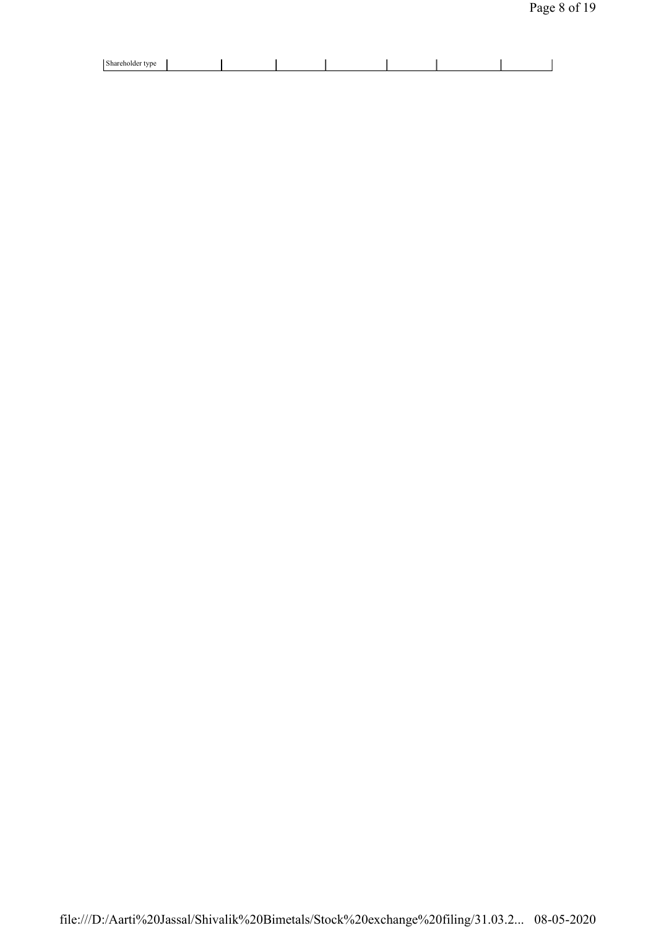| Shareholder<br><b>VDE</b><br>. . |  |  |  |  |
|----------------------------------|--|--|--|--|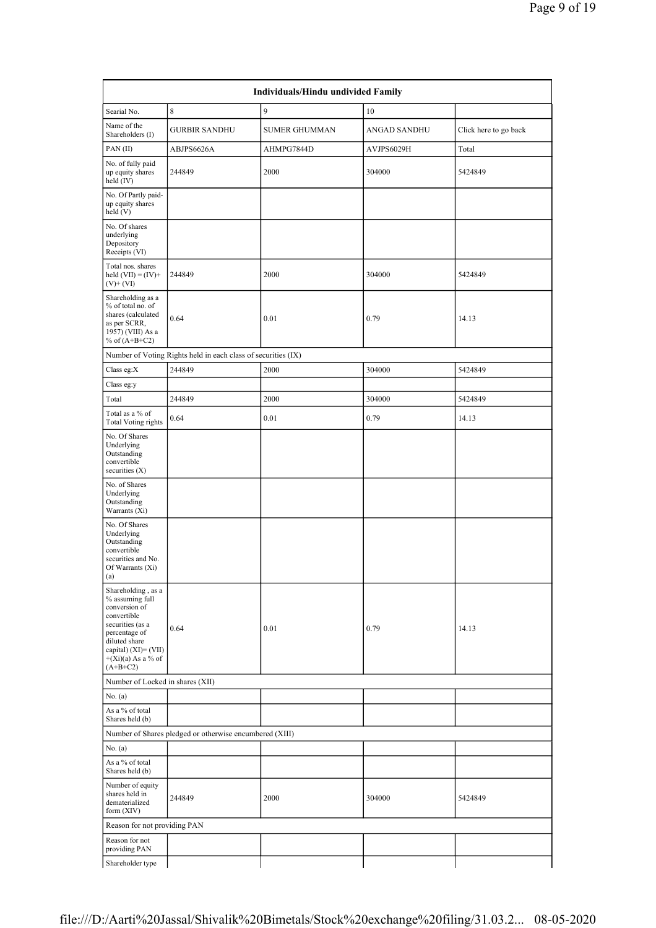|                                                                                                                                                                                              |                                                               | Individuals/Hindu undivided Family |              |                       |  |
|----------------------------------------------------------------------------------------------------------------------------------------------------------------------------------------------|---------------------------------------------------------------|------------------------------------|--------------|-----------------------|--|
| Searial No.                                                                                                                                                                                  | 8                                                             | 9                                  | 10           |                       |  |
| Name of the<br>Shareholders (I)                                                                                                                                                              | <b>GURBIR SANDHU</b>                                          | <b>SUMER GHUMMAN</b>               | ANGAD SANDHU | Click here to go back |  |
| PAN(II)                                                                                                                                                                                      | ABJPS6626A                                                    | AHMPG7844D                         | AVJPS6029H   | Total                 |  |
| No. of fully paid<br>up equity shares<br>held (IV)                                                                                                                                           | 244849                                                        | 2000                               | 304000       | 5424849               |  |
| No. Of Partly paid-<br>up equity shares<br>held (V)                                                                                                                                          |                                                               |                                    |              |                       |  |
| No. Of shares<br>underlying<br>Depository<br>Receipts (VI)                                                                                                                                   |                                                               |                                    |              |                       |  |
| Total nos. shares<br>held $(VII) = (IV) +$<br>$(V)$ + $(VI)$                                                                                                                                 | 244849                                                        | 2000                               | 304000       | 5424849               |  |
| Shareholding as a<br>% of total no. of<br>shares (calculated<br>as per SCRR,<br>1957) (VIII) As a<br>% of $(A+B+C2)$                                                                         | 0.64                                                          | 0.01                               | 0.79         | 14.13                 |  |
|                                                                                                                                                                                              | Number of Voting Rights held in each class of securities (IX) |                                    |              |                       |  |
| Class eg: $X$                                                                                                                                                                                | 244849                                                        | 2000                               | 304000       | 5424849               |  |
| Class eg:y                                                                                                                                                                                   |                                                               |                                    |              |                       |  |
| Total                                                                                                                                                                                        | 244849                                                        | 2000                               | 304000       | 5424849               |  |
| Total as a % of<br><b>Total Voting rights</b>                                                                                                                                                | 0.64                                                          | 0.01                               | 0.79         | 14.13                 |  |
| No. Of Shares<br>Underlying<br>Outstanding<br>convertible<br>securities $(X)$                                                                                                                |                                                               |                                    |              |                       |  |
| No. of Shares<br>Underlying<br>Outstanding<br>Warrants (Xi)                                                                                                                                  |                                                               |                                    |              |                       |  |
| No. Of Shares<br>Underlying<br>Outstanding<br>convertible<br>securities and No.<br>Of Warrants (Xi)<br>(a)                                                                                   |                                                               |                                    |              |                       |  |
| Shareholding, as a<br>% assuming full<br>conversion of<br>convertible<br>securities (as a<br>percentage of<br>diluted share<br>capital) $(XI) = (VII)$<br>$+(Xi)(a)$ As a % of<br>$(A+B+C2)$ | 0.64                                                          | 0.01                               | 0.79         | 14.13                 |  |
| Number of Locked in shares (XII)                                                                                                                                                             |                                                               |                                    |              |                       |  |
| No. (a)                                                                                                                                                                                      |                                                               |                                    |              |                       |  |
| As a % of total<br>Shares held (b)                                                                                                                                                           |                                                               |                                    |              |                       |  |
|                                                                                                                                                                                              | Number of Shares pledged or otherwise encumbered (XIII)       |                                    |              |                       |  |
| No. (a)                                                                                                                                                                                      |                                                               |                                    |              |                       |  |
| As a % of total<br>Shares held (b)                                                                                                                                                           |                                                               |                                    |              |                       |  |
| Number of equity<br>shares held in<br>dematerialized<br>form (XIV)                                                                                                                           | 244849                                                        | 2000                               | 304000       | 5424849               |  |
| Reason for not providing PAN                                                                                                                                                                 |                                                               |                                    |              |                       |  |
| Reason for not<br>providing PAN                                                                                                                                                              |                                                               |                                    |              |                       |  |
| Shareholder type                                                                                                                                                                             |                                                               |                                    |              |                       |  |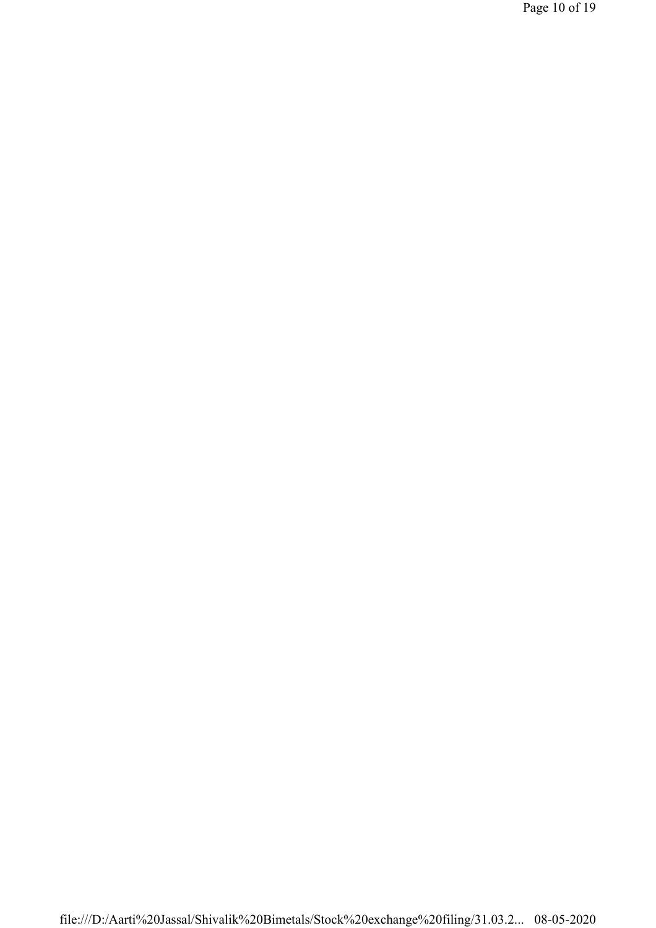Page 10 of 19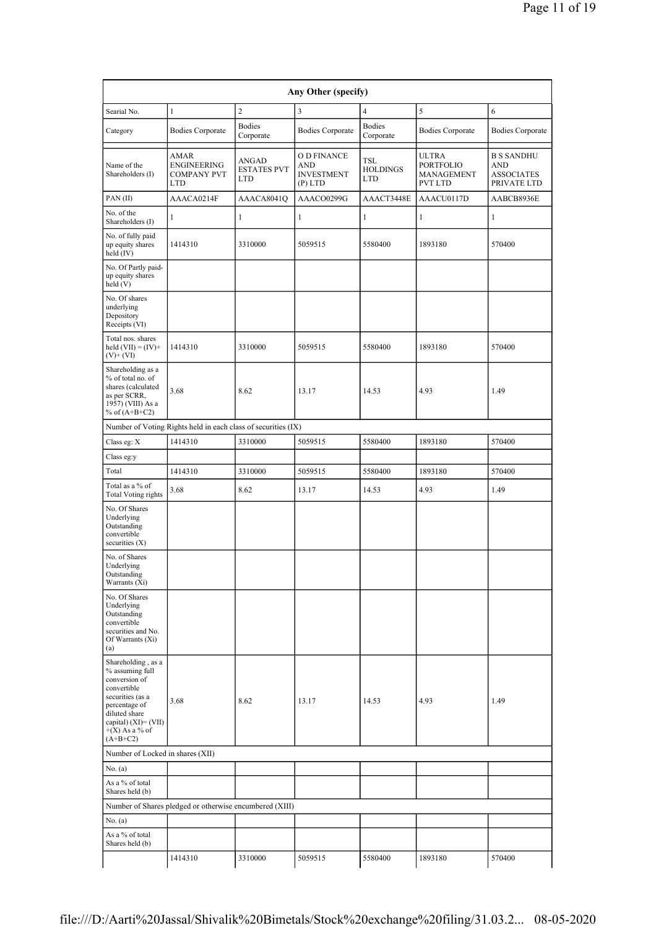|                                                                                                                                                                                          |                                                               |                                                  | Any Other (specify)                                  |                                      |                                                                  |                                                              |
|------------------------------------------------------------------------------------------------------------------------------------------------------------------------------------------|---------------------------------------------------------------|--------------------------------------------------|------------------------------------------------------|--------------------------------------|------------------------------------------------------------------|--------------------------------------------------------------|
| Searial No.                                                                                                                                                                              | $\mathbf{1}$                                                  | $\overline{2}$                                   | $\overline{\mathbf{3}}$                              | $\overline{4}$                       | 5                                                                | 6                                                            |
| Category                                                                                                                                                                                 | <b>Bodies Corporate</b>                                       | <b>Bodies</b><br>Corporate                       | <b>Bodies Corporate</b>                              | <b>Bodies</b><br>Corporate           | <b>Bodies Corporate</b>                                          | <b>Bodies Corporate</b>                                      |
| Name of the<br>Shareholders (I)                                                                                                                                                          | AMAR<br>ENGINEERING<br><b>COMPANY PVT</b><br><b>LTD</b>       | <b>ANGAD</b><br><b>ESTATES PVT</b><br><b>LTD</b> | O D FINANCE<br>AND<br><b>INVESTMENT</b><br>$(P)$ LTD | <b>TSL</b><br><b>HOLDINGS</b><br>LTD | <b>ULTRA</b><br><b>PORTFOLIO</b><br>MANAGEMENT<br><b>PVT LTD</b> | <b>B S SANDHU</b><br>AND<br><b>ASSOCIATES</b><br>PRIVATE LTD |
| PAN(II)                                                                                                                                                                                  | AAACA0214F                                                    | AAACA8041O                                       | AAACO0299G                                           | AAACT3448E                           | AAACU0117D                                                       | AABCB8936E                                                   |
| No. of the<br>Shareholders (I)                                                                                                                                                           | 1                                                             | $\mathbf{1}$                                     | $\mathbf{1}$                                         | 1                                    | $\mathbf{1}$                                                     | 1                                                            |
| No. of fully paid<br>up equity shares<br>held (IV)                                                                                                                                       | 1414310                                                       | 3310000                                          | 5059515                                              | 5580400                              | 1893180                                                          | 570400                                                       |
| No. Of Partly paid-<br>up equity shares<br>held(V)                                                                                                                                       |                                                               |                                                  |                                                      |                                      |                                                                  |                                                              |
| No. Of shares<br>underlying<br>Depository<br>Receipts (VI)                                                                                                                               |                                                               |                                                  |                                                      |                                      |                                                                  |                                                              |
| Total nos. shares<br>held $(VII) = (IV) +$<br>$(V)$ + $(VI)$                                                                                                                             | 1414310                                                       | 3310000                                          | 5059515                                              | 5580400                              | 1893180                                                          | 570400                                                       |
| Shareholding as a<br>% of total no. of<br>shares (calculated<br>as per SCRR,<br>1957) (VIII) As a<br>% of $(A+B+C2)$                                                                     | 3.68                                                          | 8.62                                             | 13.17                                                | 14.53                                | 4.93                                                             | 1.49                                                         |
|                                                                                                                                                                                          | Number of Voting Rights held in each class of securities (IX) |                                                  |                                                      |                                      |                                                                  |                                                              |
| Class eg: X                                                                                                                                                                              | 1414310                                                       | 3310000                                          | 5059515                                              | 5580400                              | 1893180                                                          | 570400                                                       |
| Class eg:y                                                                                                                                                                               |                                                               |                                                  |                                                      |                                      |                                                                  |                                                              |
| Total                                                                                                                                                                                    | 1414310                                                       | 3310000                                          | 5059515                                              | 5580400                              | 1893180                                                          | 570400                                                       |
| Total as a % of<br><b>Total Voting rights</b>                                                                                                                                            | 3.68                                                          | 8.62                                             | 13.17                                                | 14.53                                | 4.93                                                             | 1.49                                                         |
| No. Of Shares<br>Underlying<br>Outstanding<br>convertible<br>securities $(X)$                                                                                                            |                                                               |                                                  |                                                      |                                      |                                                                  |                                                              |
| No. of Shares<br>Underlying<br>Outstanding<br>Warrants (Xi)                                                                                                                              |                                                               |                                                  |                                                      |                                      |                                                                  |                                                              |
| No. Of Shares<br>Underlying<br>Outstanding<br>convertible<br>securities and No.<br>Of Warrants (Xi)<br>(a)                                                                               |                                                               |                                                  |                                                      |                                      |                                                                  |                                                              |
| Shareholding, as a<br>% assuming full<br>conversion of<br>convertible<br>securities (as a<br>percentage of<br>diluted share<br>capital) $(XI) = (VII)$<br>$+(X)$ As a % of<br>$(A+B+C2)$ | 3.68                                                          | 8.62                                             | 13.17                                                | 14.53                                | 4.93                                                             | 1.49                                                         |
| Number of Locked in shares (XII)                                                                                                                                                         |                                                               |                                                  |                                                      |                                      |                                                                  |                                                              |
| No. (a)                                                                                                                                                                                  |                                                               |                                                  |                                                      |                                      |                                                                  |                                                              |
| As a % of total<br>Shares held (b)                                                                                                                                                       |                                                               |                                                  |                                                      |                                      |                                                                  |                                                              |
|                                                                                                                                                                                          | Number of Shares pledged or otherwise encumbered (XIII)       |                                                  |                                                      |                                      |                                                                  |                                                              |
| No. (a)                                                                                                                                                                                  |                                                               |                                                  |                                                      |                                      |                                                                  |                                                              |
| As a % of total<br>Shares held (b)                                                                                                                                                       |                                                               |                                                  |                                                      |                                      |                                                                  |                                                              |
|                                                                                                                                                                                          | 1414310                                                       | 3310000                                          | 5059515                                              | 5580400                              | 1893180                                                          | 570400                                                       |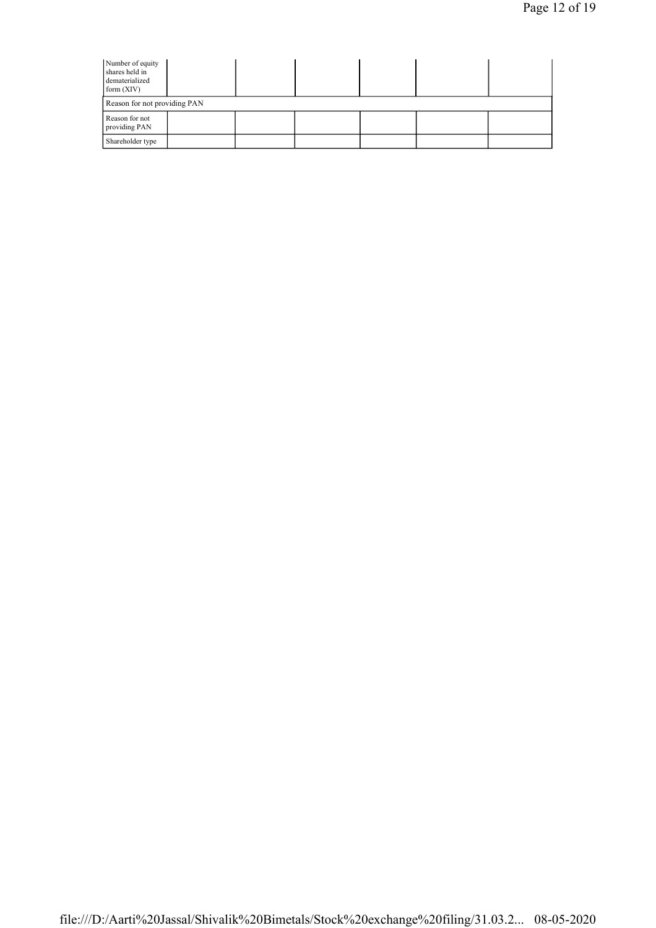| Number of equity<br>shares held in<br>dematerialized<br>form $(XIV)$ |  |  |  |
|----------------------------------------------------------------------|--|--|--|
| Reason for not providing PAN                                         |  |  |  |
| Reason for not<br>providing PAN                                      |  |  |  |
| Shareholder type                                                     |  |  |  |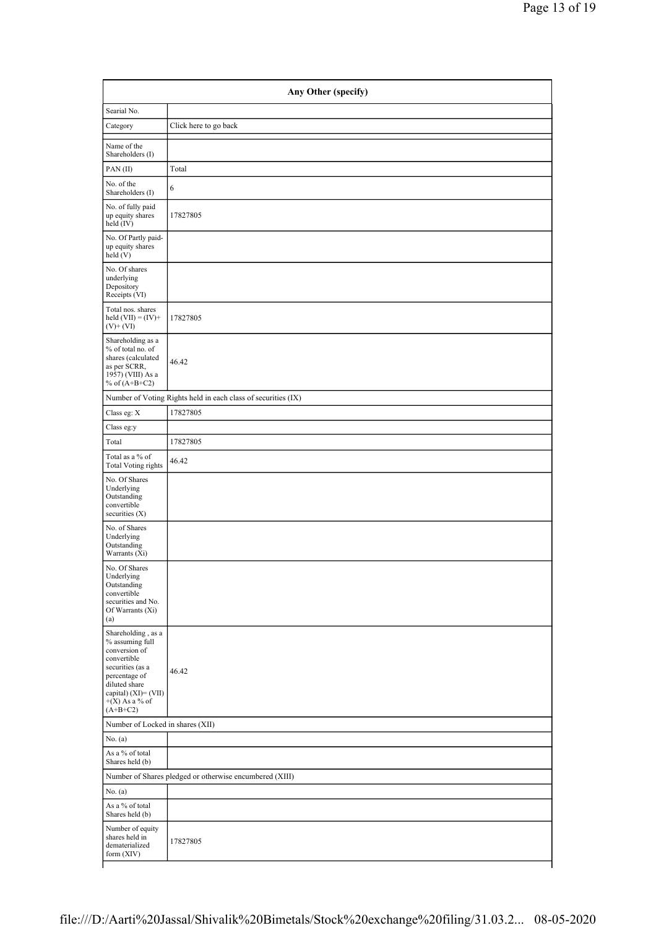| Searial No.                                                                                                                                                                           |                                                               |
|---------------------------------------------------------------------------------------------------------------------------------------------------------------------------------------|---------------------------------------------------------------|
| Category                                                                                                                                                                              | Click here to go back                                         |
| Name of the<br>Shareholders (I)                                                                                                                                                       |                                                               |
| PAN(II)                                                                                                                                                                               | Total                                                         |
| No. of the<br>Shareholders (I)                                                                                                                                                        | 6                                                             |
| No. of fully paid<br>up equity shares<br>held (IV)                                                                                                                                    | 17827805                                                      |
| No. Of Partly paid-<br>up equity shares<br>held(V)                                                                                                                                    |                                                               |
| No. Of shares<br>underlying<br>Depository<br>Receipts (VI)                                                                                                                            |                                                               |
| Total nos. shares<br>held $(VII) = (IV) +$<br>$(V)$ + $(VI)$                                                                                                                          | 17827805                                                      |
| Shareholding as a<br>% of total no. of<br>shares (calculated<br>as per SCRR,<br>1957) (VIII) As a<br>% of $(A+B+C2)$                                                                  | 46.42                                                         |
|                                                                                                                                                                                       | Number of Voting Rights held in each class of securities (IX) |
| Class eg: $\mathbf X$                                                                                                                                                                 | 17827805                                                      |
| Class eg:y                                                                                                                                                                            |                                                               |
| Total                                                                                                                                                                                 | 17827805                                                      |
| Total as a % of<br><b>Total Voting rights</b>                                                                                                                                         | 46.42                                                         |
| No. Of Shares<br>Underlying<br>Outstanding<br>convertible<br>securities (X)                                                                                                           |                                                               |
| No. of Shares<br>Underlying<br>Outstanding<br>Warrants (Xi)                                                                                                                           |                                                               |
| No. Of Shares<br>Underlying<br>Outstanding<br>convertible<br>securities and No.<br>Of Warrants (Xi)<br>(a)                                                                            |                                                               |
| Shareholding, as a<br>% assuming full<br>conversion of<br>convertible<br>securities (as a<br>percentage of<br>diluted share<br>capital) (XI)= (VII)<br>$+(X)$ As a % of<br>$(A+B+C2)$ | 46.42                                                         |
| Number of Locked in shares (XII)                                                                                                                                                      |                                                               |
| No. (a)                                                                                                                                                                               |                                                               |
| As a % of total<br>Shares held (b)                                                                                                                                                    |                                                               |
|                                                                                                                                                                                       | Number of Shares pledged or otherwise encumbered (XIII)       |
| No. (a)                                                                                                                                                                               |                                                               |
| As a % of total<br>Shares held (b)                                                                                                                                                    |                                                               |
| Number of equity<br>shares held in<br>dematerialized<br>form (XIV)                                                                                                                    | 17827805                                                      |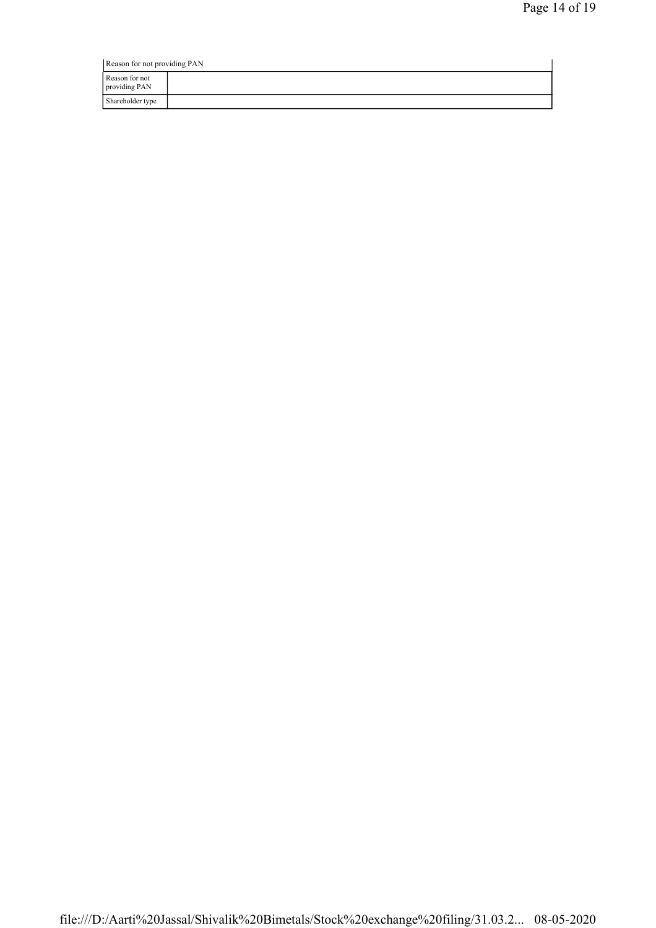| Reason for not providing PAN    |  |  |
|---------------------------------|--|--|
| Reason for not<br>providing PAN |  |  |
| Shareholder type                |  |  |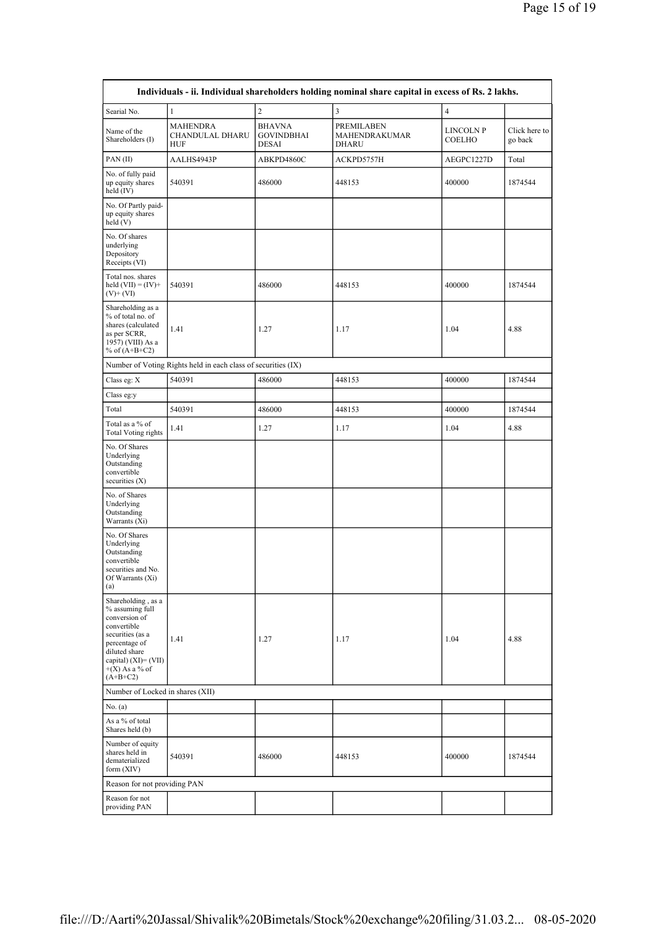| Individuals - ii. Individual shareholders holding nominal share capital in excess of Rs. 2 lakhs.                                                                                     |                                                               |                                                    |                                             |                     |                          |  |  |
|---------------------------------------------------------------------------------------------------------------------------------------------------------------------------------------|---------------------------------------------------------------|----------------------------------------------------|---------------------------------------------|---------------------|--------------------------|--|--|
| Searial No.                                                                                                                                                                           | $\mathbf{1}$                                                  | $\sqrt{2}$                                         | $\mathfrak z$                               | $\overline{4}$      |                          |  |  |
| Name of the<br>Shareholders (I)                                                                                                                                                       | <b>MAHENDRA</b><br>CHANDULAL DHARU<br><b>HUF</b>              | <b>BHAVNA</b><br><b>GOVINDBHAI</b><br><b>DESAI</b> | PREMILABEN<br>MAHENDRAKUMAR<br><b>DHARU</b> | LINCOLN P<br>COELHO | Click here to<br>go back |  |  |
| PAN(II)                                                                                                                                                                               | AALHS4943P                                                    | ABKPD4860C                                         | ACKPD5757H                                  | AEGPC1227D          | Total                    |  |  |
| No. of fully paid<br>up equity shares<br>held (IV)                                                                                                                                    | 540391                                                        | 486000                                             | 448153                                      | 400000              | 1874544                  |  |  |
| No. Of Partly paid-<br>up equity shares<br>held (V)                                                                                                                                   |                                                               |                                                    |                                             |                     |                          |  |  |
| No. Of shares<br>underlying<br>Depository<br>Receipts (VI)                                                                                                                            |                                                               |                                                    |                                             |                     |                          |  |  |
| Total nos. shares<br>held $(VII) = (IV) +$<br>$(V)$ + $(VI)$                                                                                                                          | 540391                                                        | 486000                                             | 448153                                      | 400000              | 1874544                  |  |  |
| Shareholding as a<br>% of total no. of<br>shares (calculated<br>as per SCRR,<br>1957) (VIII) As a<br>% of $(A+B+C2)$                                                                  | 1.41                                                          | 1.27                                               | 1.17                                        | 1.04                | 4.88                     |  |  |
|                                                                                                                                                                                       | Number of Voting Rights held in each class of securities (IX) |                                                    |                                             |                     |                          |  |  |
| Class eg: X                                                                                                                                                                           | 540391                                                        | 486000                                             | 448153                                      | 400000              | 1874544                  |  |  |
| Class eg:y                                                                                                                                                                            |                                                               |                                                    |                                             |                     |                          |  |  |
| Total                                                                                                                                                                                 | 540391                                                        | 486000                                             | 448153                                      | 400000              | 1874544                  |  |  |
| Total as a % of<br><b>Total Voting rights</b>                                                                                                                                         | 1.41                                                          | 1.27                                               | 1.17                                        | 1.04                | 4.88                     |  |  |
| No. Of Shares<br>Underlying<br>Outstanding<br>convertible<br>securities $(X)$                                                                                                         |                                                               |                                                    |                                             |                     |                          |  |  |
| No. of Shares<br>Underlying<br>Outstanding<br>Warrants (Xi)                                                                                                                           |                                                               |                                                    |                                             |                     |                          |  |  |
| No. Of Shares<br>Underlying<br>Outstanding<br>convertible<br>securities and No.<br>Of Warrants $(X_i)$<br>(a)                                                                         |                                                               |                                                    |                                             |                     |                          |  |  |
| Shareholding, as a<br>% assuming full<br>conversion of<br>convertible<br>securities (as a<br>percentage of<br>diluted share<br>capital) (XI)= (VII)<br>$+(X)$ As a % of<br>$(A+B+C2)$ | 1.41                                                          | 1.27                                               | 1.17                                        | 1.04                | 4.88                     |  |  |
|                                                                                                                                                                                       | Number of Locked in shares (XII)                              |                                                    |                                             |                     |                          |  |  |
| No. (a)                                                                                                                                                                               |                                                               |                                                    |                                             |                     |                          |  |  |
| As a % of total<br>Shares held (b)                                                                                                                                                    |                                                               |                                                    |                                             |                     |                          |  |  |
| Number of equity<br>shares held in<br>dematerialized<br>form (XIV)                                                                                                                    | 540391                                                        | 486000                                             | 448153                                      | 400000              | 1874544                  |  |  |
| Reason for not providing PAN                                                                                                                                                          |                                                               |                                                    |                                             |                     |                          |  |  |
| Reason for not<br>providing PAN                                                                                                                                                       |                                                               |                                                    |                                             |                     |                          |  |  |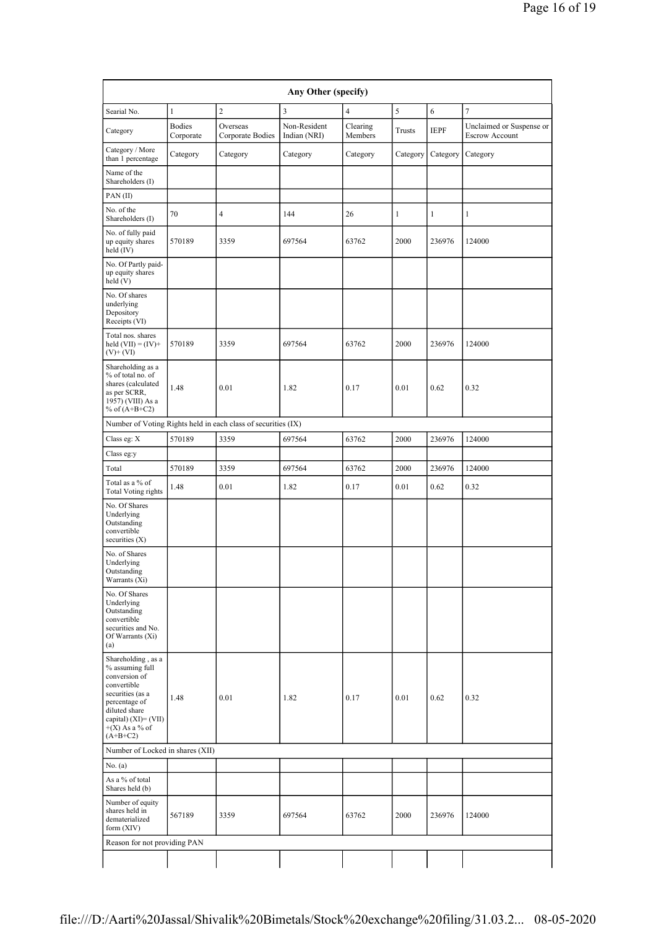| Any Other (specify)                                                                                                                                                                   |                            |                                                               |                              |                     |          |              |                                                   |
|---------------------------------------------------------------------------------------------------------------------------------------------------------------------------------------|----------------------------|---------------------------------------------------------------|------------------------------|---------------------|----------|--------------|---------------------------------------------------|
| Searial No.                                                                                                                                                                           | $\mathbf{1}$               | $\overline{2}$                                                | 3                            | $\overline{4}$      | 5        | 6            | 7                                                 |
| Category                                                                                                                                                                              | <b>Bodies</b><br>Corporate | Overseas<br>Corporate Bodies                                  | Non-Resident<br>Indian (NRI) | Clearing<br>Members | Trusts   | <b>IEPF</b>  | Unclaimed or Suspense or<br><b>Escrow Account</b> |
| Category / More<br>than 1 percentage                                                                                                                                                  | Category                   | Category                                                      | Category                     | Category            | Category | Category     | Category                                          |
| Name of the<br>Shareholders (I)                                                                                                                                                       |                            |                                                               |                              |                     |          |              |                                                   |
| PAN(II)                                                                                                                                                                               |                            |                                                               |                              |                     |          |              |                                                   |
| No. of the<br>Shareholders (I)                                                                                                                                                        | 70                         | $\overline{4}$                                                | 144                          | 26                  | 1        | $\mathbf{1}$ | 1                                                 |
| No. of fully paid<br>up equity shares<br>held $(IV)$                                                                                                                                  | 570189                     | 3359                                                          | 697564                       | 63762               | 2000     | 236976       | 124000                                            |
| No. Of Partly paid-<br>up equity shares<br>held (V)                                                                                                                                   |                            |                                                               |                              |                     |          |              |                                                   |
| No. Of shares<br>underlying<br>Depository<br>Receipts (VI)                                                                                                                            |                            |                                                               |                              |                     |          |              |                                                   |
| Total nos. shares<br>held $(VII) = (IV) +$<br>$(V)$ + $(VI)$                                                                                                                          | 570189                     | 3359                                                          | 697564                       | 63762               | 2000     | 236976       | 124000                                            |
| Shareholding as a<br>% of total no. of<br>shares (calculated<br>as per SCRR,<br>1957) (VIII) As a<br>% of $(A+B+C2)$                                                                  | 1.48                       | 0.01                                                          | 1.82                         | 0.17                | 0.01     | 0.62         | 0.32                                              |
|                                                                                                                                                                                       |                            | Number of Voting Rights held in each class of securities (IX) |                              |                     |          |              |                                                   |
| Class eg: X                                                                                                                                                                           | 570189                     | 3359                                                          | 697564                       | 63762               | 2000     | 236976       | 124000                                            |
| Class eg:y                                                                                                                                                                            |                            |                                                               |                              |                     |          |              |                                                   |
| Total                                                                                                                                                                                 | 570189                     | 3359                                                          | 697564                       | 63762               | 2000     | 236976       | 124000                                            |
| Total as a % of<br><b>Total Voting rights</b>                                                                                                                                         | 1.48                       | 0.01                                                          | 1.82                         | 0.17                | 0.01     | 0.62         | 0.32                                              |
| No. Of Shares<br>Underlying<br>Outstanding<br>convertible<br>securities $(X)$                                                                                                         |                            |                                                               |                              |                     |          |              |                                                   |
| No. of Shares<br>Underlying<br>Outstanding<br>Warrants (Xi)                                                                                                                           |                            |                                                               |                              |                     |          |              |                                                   |
| No. Of Shares<br>Underlying<br>Outstanding<br>convertible<br>securities and No.<br>Of Warrants (Xi)<br>(a)                                                                            |                            |                                                               |                              |                     |          |              |                                                   |
| Shareholding, as a<br>% assuming full<br>conversion of<br>convertible<br>securities (as a<br>percentage of<br>diluted share<br>capital) (XI)= (VII)<br>$+(X)$ As a % of<br>$(A+B+C2)$ | 1.48                       | 0.01                                                          | 1.82                         | 0.17                | 0.01     | 0.62         | 0.32                                              |
| Number of Locked in shares (XII)                                                                                                                                                      |                            |                                                               |                              |                     |          |              |                                                   |
| No. $(a)$                                                                                                                                                                             |                            |                                                               |                              |                     |          |              |                                                   |
| As a % of total<br>Shares held (b)                                                                                                                                                    |                            |                                                               |                              |                     |          |              |                                                   |
| Number of equity<br>shares held in<br>dematerialized<br>form (XIV)                                                                                                                    | 567189                     | 3359                                                          | 697564                       | 63762               | 2000     | 236976       | 124000                                            |
| Reason for not providing PAN                                                                                                                                                          |                            |                                                               |                              |                     |          |              |                                                   |
|                                                                                                                                                                                       |                            |                                                               |                              |                     |          |              |                                                   |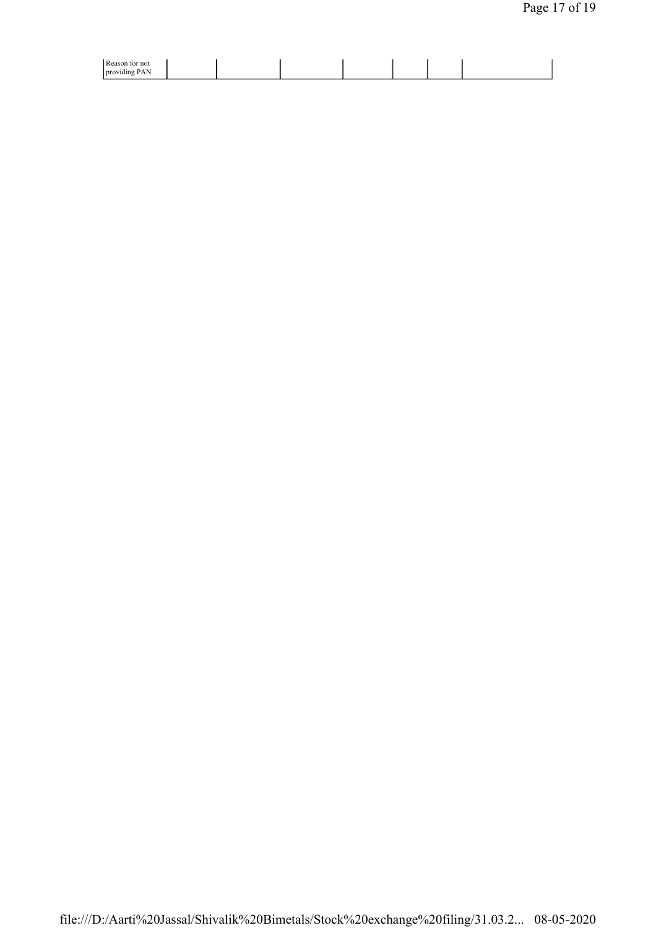| . .<br>N<br>$\mathbf{v}$ | Rea<br>or not |  |  |  |  |  |  |  |
|--------------------------|---------------|--|--|--|--|--|--|--|
|--------------------------|---------------|--|--|--|--|--|--|--|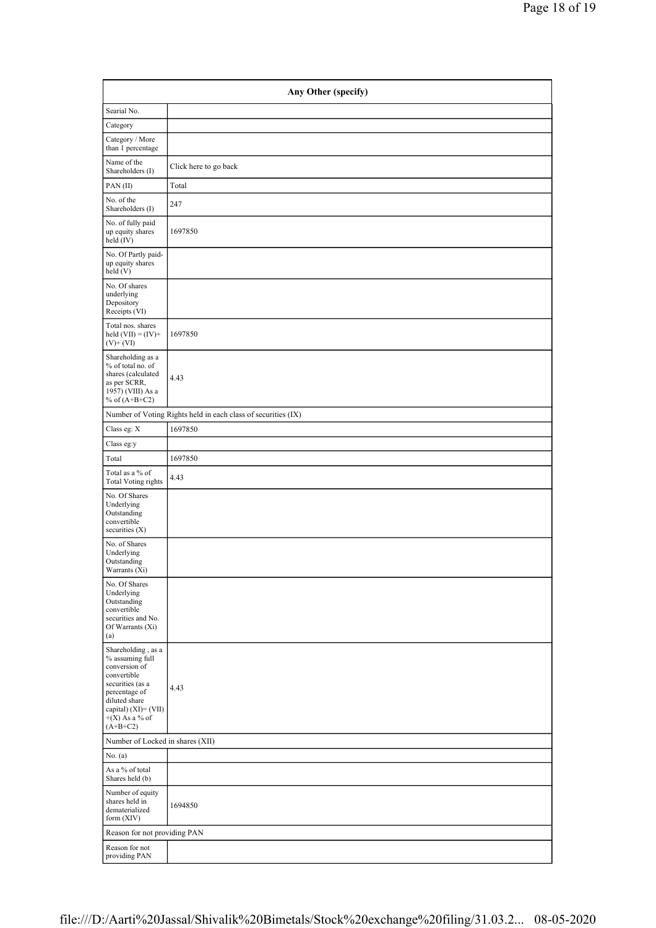| Any Other (specify)                                                                                                                                                                      |                                                               |  |  |  |  |
|------------------------------------------------------------------------------------------------------------------------------------------------------------------------------------------|---------------------------------------------------------------|--|--|--|--|
| Searial No.                                                                                                                                                                              |                                                               |  |  |  |  |
| Category                                                                                                                                                                                 |                                                               |  |  |  |  |
| Category / More<br>than 1 percentage                                                                                                                                                     |                                                               |  |  |  |  |
| Name of the<br>Shareholders (I)                                                                                                                                                          | Click here to go back                                         |  |  |  |  |
| PAN(II)                                                                                                                                                                                  | Total                                                         |  |  |  |  |
| No. of the<br>Shareholders (I)                                                                                                                                                           | 247                                                           |  |  |  |  |
| No. of fully paid<br>up equity shares<br>held (IV)                                                                                                                                       | 1697850                                                       |  |  |  |  |
| No. Of Partly paid-<br>up equity shares<br>held(V)                                                                                                                                       |                                                               |  |  |  |  |
| No. Of shares<br>underlying<br>Depository<br>Receipts (VI)                                                                                                                               |                                                               |  |  |  |  |
| Total nos. shares<br>held $(VII) = (IV) +$<br>$(V)$ + $(VI)$                                                                                                                             | 1697850                                                       |  |  |  |  |
| Shareholding as a<br>% of total no. of<br>shares (calculated<br>as per SCRR,<br>1957) (VIII) As a<br>% of $(A+B+C2)$                                                                     | 4.43                                                          |  |  |  |  |
|                                                                                                                                                                                          | Number of Voting Rights held in each class of securities (IX) |  |  |  |  |
| Class eg: X                                                                                                                                                                              | 1697850                                                       |  |  |  |  |
| Class eg:y                                                                                                                                                                               |                                                               |  |  |  |  |
| Total                                                                                                                                                                                    | 1697850                                                       |  |  |  |  |
| Total as a % of<br><b>Total Voting rights</b>                                                                                                                                            | 4.43                                                          |  |  |  |  |
| No. Of Shares<br>Underlying<br>Outstanding<br>convertible<br>securities $(X)$                                                                                                            |                                                               |  |  |  |  |
| No. of Shares<br>Underlying<br>Outstanding<br>Warrants (Xi)                                                                                                                              |                                                               |  |  |  |  |
| No. Of Shares<br>Underlying<br>Outstanding<br>convertible<br>securities and No.<br>Of Warrants (Xi)<br>(a)                                                                               |                                                               |  |  |  |  |
| Shareholding, as a<br>% assuming full<br>conversion of<br>convertible<br>securities (as a<br>percentage of<br>diluted share<br>capital) $(XI) = (VII)$<br>$+(X)$ As a % of<br>$(A+B+C2)$ | 4.43                                                          |  |  |  |  |
| Number of Locked in shares (XII)                                                                                                                                                         |                                                               |  |  |  |  |
| No. (a)                                                                                                                                                                                  |                                                               |  |  |  |  |
| As a % of total<br>Shares held (b)                                                                                                                                                       |                                                               |  |  |  |  |
| Number of equity<br>shares held in<br>dematerialized<br>form $(XIV)$                                                                                                                     | 1694850                                                       |  |  |  |  |
| Reason for not providing PAN                                                                                                                                                             |                                                               |  |  |  |  |
| Reason for not<br>providing PAN                                                                                                                                                          |                                                               |  |  |  |  |